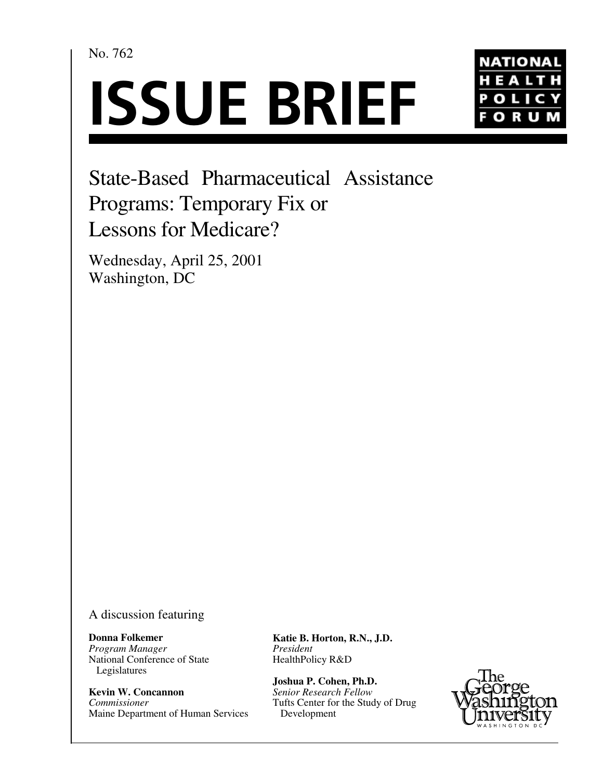No. 762





State-Based Pharmaceutical Assistance Programs: Temporary Fix or Lessons for Medicare?

Wednesday, April 25, 2001 Washington, DC

A discussion featuring

**Donna Folkemer** *Program Manager* National Conference of State Legislatures

**Kevin W. Concannon** *Commissioner* Maine Department of Human Services **Katie B. Horton, R.N., J.D.** *President* HealthPolicy R&D

**Joshua P. Cohen, Ph.D.** *Senior Research Fellow* Tufts Center for the Study of Drug Development

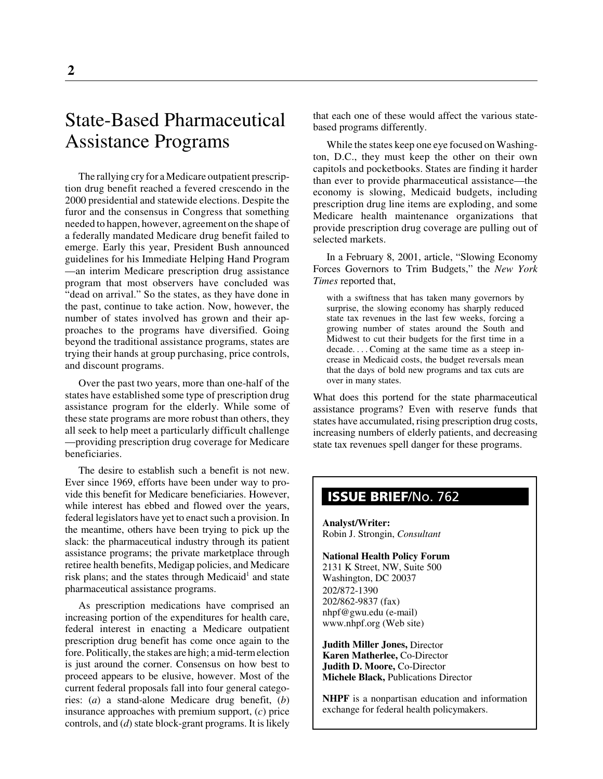# State-Based Pharmaceutical Assistance Programs

The rallying cry for a Medicare outpatient prescription drug benefit reached a fevered crescendo in the 2000 presidential and statewide elections. Despite the furor and the consensus in Congress that something needed to happen, however, agreement on the shape of a federally mandated Medicare drug benefit failed to emerge. Early this year, President Bush announced guidelines for his Immediate Helping Hand Program —an interim Medicare prescription drug assistance program that most observers have concluded was "dead on arrival." So the states, as they have done in the past, continue to take action. Now, however, the number of states involved has grown and their approaches to the programs have diversified. Going beyond the traditional assistance programs, states are trying their hands at group purchasing, price controls, and discount programs.

Over the past two years, more than one-half of the states have established some type of prescription drug assistance program for the elderly. While some of these state programs are more robust than others, they all seek to help meet a particularly difficult challenge —providing prescription drug coverage for Medicare beneficiaries.

The desire to establish such a benefit is not new. Ever since 1969, efforts have been under way to provide this benefit for Medicare beneficiaries. However, while interest has ebbed and flowed over the years, federal legislators have yet to enact such a provision. In the meantime, others have been trying to pick up the slack: the pharmaceutical industry through its patient assistance programs; the private marketplace through retiree health benefits, Medigap policies, and Medicare risk plans; and the states through Medicaid<sup>1</sup> and state pharmaceutical assistance programs.

As prescription medications have comprised an increasing portion of the expenditures for health care, federal interest in enacting a Medicare outpatient prescription drug benefit has come once again to the fore. Politically, the stakes are high; a mid-term election is just around the corner. Consensus on how best to proceed appears to be elusive, however. Most of the current federal proposals fall into four general categories: (*a*) a stand-alone Medicare drug benefit, (*b*) insurance approaches with premium support, (*c*) price controls, and (*d*) state block-grant programs. It is likely that each one of these would affect the various statebased programs differently.

While the states keep one eye focused on Washington, D.C., they must keep the other on their own capitols and pocketbooks. States are finding it harder than ever to provide pharmaceutical assistance—the economy is slowing, Medicaid budgets, including prescription drug line items are exploding, and some Medicare health maintenance organizations that provide prescription drug coverage are pulling out of selected markets.

In a February 8, 2001, article, "Slowing Economy Forces Governors to Trim Budgets," the *New York Times* reported that,

with a swiftness that has taken many governors by surprise, the slowing economy has sharply reduced state tax revenues in the last few weeks, forcing a growing number of states around the South and Midwest to cut their budgets for the first time in a decade. . . . Coming at the same time as a steep increase in Medicaid costs, the budget reversals mean that the days of bold new programs and tax cuts are over in many states.

What does this portend for the state pharmaceutical assistance programs? Even with reserve funds that states have accumulated, rising prescription drug costs, increasing numbers of elderly patients, and decreasing state tax revenues spell danger for these programs.

# **ISSUE BRIEF**/No. 762

**Analyst/Writer:** Robin J. Strongin, *Consultant*

#### **National Health Policy Forum** 2131 K Street, NW, Suite 500 Washington, DC 20037 202/872-1390 202/862-9837 (fax)

nhpf@gwu.edu (e-mail) www.nhpf.org (Web site) **Judith Miller Jones,** Director

**Karen Matherlee,** Co-Director **Judith D. Moore,** Co-Director **Michele Black,** Publications Director

**NHPF** is a nonpartisan education and information exchange for federal health policymakers.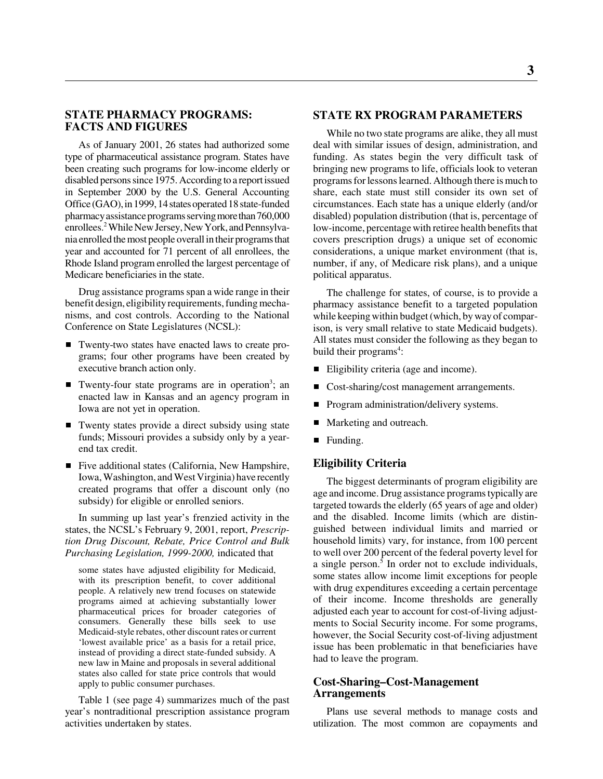# **STATE PHARMACY PROGRAMS: FACTS AND FIGURES**

As of January 2001, 26 states had authorized some type of pharmaceutical assistance program. States have been creating such programs for low-income elderly or disabled persons since 1975. According to a report issued in September 2000 by the U.S. General Accounting Office (GAO), in 1999, 14 states operated 18 state-funded pharmacy assistance programs serving more than 760,000 enrollees.2 While New Jersey, New York, and Pennsylvania enrolled the most people overall in their programs that year and accounted for 71 percent of all enrollees, the Rhode Island program enrolled the largest percentage of Medicare beneficiaries in the state.

Drug assistance programs span a wide range in their benefit design, eligibility requirements, funding mechanisms, and cost controls. According to the National Conference on State Legislatures (NCSL):

- Twenty-two states have enacted laws to create programs; four other programs have been created by executive branch action only.
- Twenty-four state programs are in operation<sup>3</sup>; an enacted law in Kansas and an agency program in Iowa are not yet in operation.
- Twenty states provide a direct subsidy using state funds; Missouri provides a subsidy only by a yearend tax credit.
- Five additional states (California, New Hampshire, Iowa, Washington, and West Virginia) have recently created programs that offer a discount only (no subsidy) for eligible or enrolled seniors.

In summing up last year's frenzied activity in the states, the NCSL's February 9, 2001, report, *Prescription Drug Discount, Rebate, Price Control and Bulk Purchasing Legislation, 1999-2000,* indicated that

some states have adjusted eligibility for Medicaid, with its prescription benefit, to cover additional people. A relatively new trend focuses on statewide programs aimed at achieving substantially lower pharmaceutical prices for broader categories of consumers. Generally these bills seek to use Medicaid-style rebates, other discount rates or current 'lowest available price' as a basis for a retail price, instead of providing a direct state-funded subsidy. A new law in Maine and proposals in several additional states also called for state price controls that would apply to public consumer purchases.

Table 1 (see page 4) summarizes much of the past year's nontraditional prescription assistance program activities undertaken by states.

# **STATE RX PROGRAM PARAMETERS**

While no two state programs are alike, they all must deal with similar issues of design, administration, and funding. As states begin the very difficult task of bringing new programs to life, officials look to veteran programs for lessons learned. Although there is much to share, each state must still consider its own set of circumstances. Each state has a unique elderly (and/or disabled) population distribution (that is, percentage of low-income, percentage with retiree health benefits that covers prescription drugs) a unique set of economic considerations, a unique market environment (that is, number, if any, of Medicare risk plans), and a unique political apparatus.

The challenge for states, of course, is to provide a pharmacy assistance benefit to a targeted population while keeping within budget (which, by way of comparison, is very small relative to state Medicaid budgets). All states must consider the following as they began to build their programs<sup>4</sup>:

- Eligibility criteria (age and income).
- $\blacksquare$ Cost-sharing/cost management arrangements.
- $\blacksquare$ Program administration/delivery systems.
- $\blacksquare$ Marketing and outreach.
- Funding.

## **Eligibility Criteria**

The biggest determinants of program eligibility are age and income. Drug assistance programs typically are targeted towards the elderly (65 years of age and older) and the disabled. Income limits (which are distinguished between individual limits and married or household limits) vary, for instance, from 100 percent to well over 200 percent of the federal poverty level for a single person.<sup>5</sup> In order not to exclude individuals, some states allow income limit exceptions for people with drug expenditures exceeding a certain percentage of their income. Income thresholds are generally adjusted each year to account for cost-of-living adjustments to Social Security income. For some programs, however, the Social Security cost-of-living adjustment issue has been problematic in that beneficiaries have had to leave the program.

## **Cost-Sharing–Cost-Management Arrangements**

Plans use several methods to manage costs and utilization. The most common are copayments and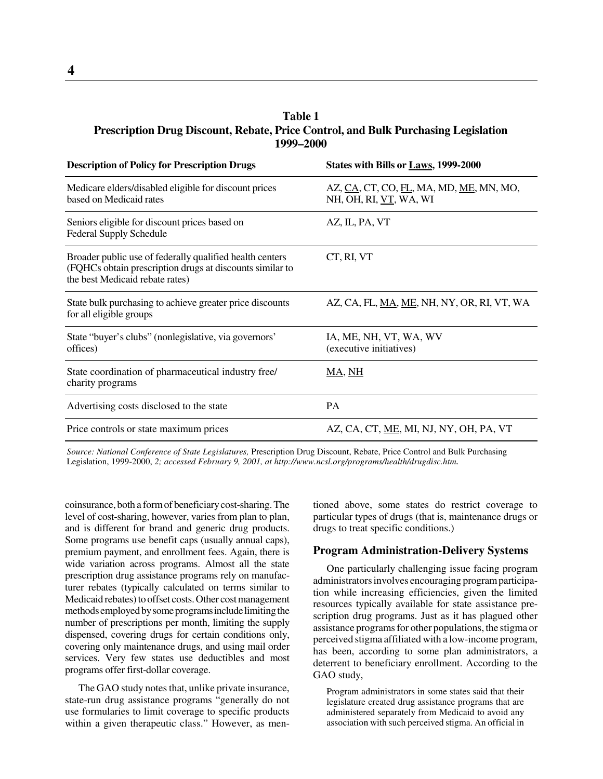# **Table 1 Prescription Drug Discount, Rebate, Price Control, and Bulk Purchasing Legislation 1999–2000**

| <b>Description of Policy for Prescription Drugs</b>                                                                                                     | States with Bills or Laws, 1999-2000                              |
|---------------------------------------------------------------------------------------------------------------------------------------------------------|-------------------------------------------------------------------|
| Medicare elders/disabled eligible for discount prices<br>based on Medicaid rates                                                                        | AZ, CA, CT, CO, FL, MA, MD, ME, MN, MO,<br>NH, OH, RI, VT, WA, WI |
| Seniors eligible for discount prices based on<br><b>Federal Supply Schedule</b>                                                                         | AZ, IL, PA, VT                                                    |
| Broader public use of federally qualified health centers<br>(FQHCs obtain prescription drugs at discounts similar to<br>the best Medicaid rebate rates) | CT, RI, VT                                                        |
| State bulk purchasing to achieve greater price discounts<br>for all eligible groups                                                                     | AZ, CA, FL, MA, ME, NH, NY, OR, RI, VT, WA                        |
| State "buyer's clubs" (nonlegislative, via governors'<br>offices)                                                                                       | IA, ME, NH, VT, WA, WV<br>(executive initiatives)                 |
| State coordination of pharmaceutical industry free/<br>charity programs                                                                                 | MA, NH                                                            |
| Advertising costs disclosed to the state                                                                                                                | PA                                                                |
| Price controls or state maximum prices                                                                                                                  | AZ, CA, CT, ME, MI, NJ, NY, OH, PA, VT                            |

*Source: National Conference of State Legislatures,* Prescription Drug Discount, Rebate, Price Control and Bulk Purchasing Legislation, 1999-2000, *2; accessed February 9, 2001, at http://www.ncsl.org/programs/health/drugdisc.htm.*

coinsurance, both a form of beneficiary cost-sharing. The level of cost-sharing, however, varies from plan to plan, and is different for brand and generic drug products. Some programs use benefit caps (usually annual caps), premium payment, and enrollment fees. Again, there is wide variation across programs. Almost all the state prescription drug assistance programs rely on manufacturer rebates (typically calculated on terms similar to Medicaid rebates) to offset costs. Other cost management methods employed by some programs include limiting the number of prescriptions per month, limiting the supply dispensed, covering drugs for certain conditions only, covering only maintenance drugs, and using mail order services. Very few states use deductibles and most programs offer first-dollar coverage.

The GAO study notes that, unlike private insurance, state-run drug assistance programs "generally do not use formularies to limit coverage to specific products within a given therapeutic class." However, as mentioned above, some states do restrict coverage to particular types of drugs (that is, maintenance drugs or drugs to treat specific conditions.)

#### **Program Administration-Delivery Systems**

One particularly challenging issue facing program administrators involves encouraging program participation while increasing efficiencies, given the limited resources typically available for state assistance prescription drug programs. Just as it has plagued other assistance programs for other populations, the stigma or perceived stigma affiliated with a low-income program, has been, according to some plan administrators, a deterrent to beneficiary enrollment. According to the GAO study,

Program administrators in some states said that their legislature created drug assistance programs that are administered separately from Medicaid to avoid any association with such perceived stigma. An official in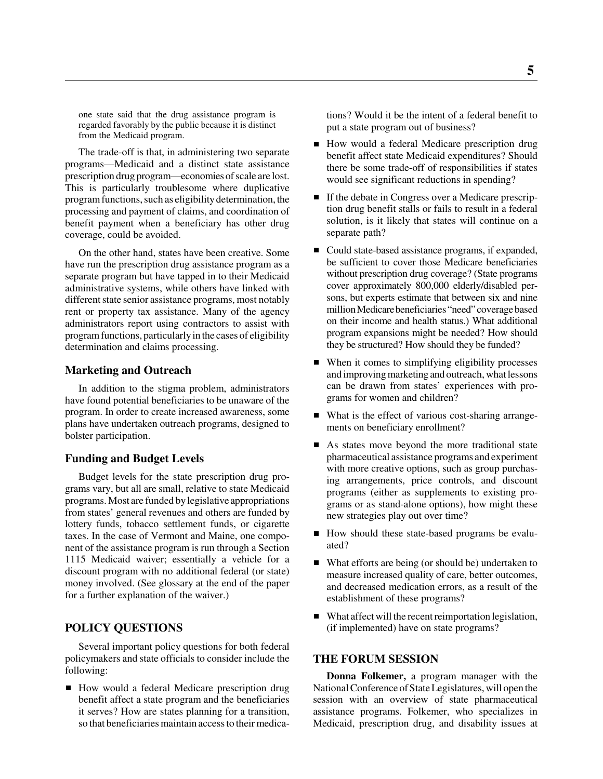one state said that the drug assistance program is regarded favorably by the public because it is distinct from the Medicaid program.

The trade-off is that, in administering two separate programs—Medicaid and a distinct state assistance prescription drug program—economies of scale are lost. This is particularly troublesome where duplicative program functions, such as eligibility determination, the processing and payment of claims, and coordination of benefit payment when a beneficiary has other drug coverage, could be avoided.

On the other hand, states have been creative. Some have run the prescription drug assistance program as a separate program but have tapped in to their Medicaid administrative systems, while others have linked with different state senior assistance programs, most notably rent or property tax assistance. Many of the agency administrators report using contractors to assist with program functions, particularly in the cases of eligibility determination and claims processing.

#### **Marketing and Outreach**

In addition to the stigma problem, administrators have found potential beneficiaries to be unaware of the program. In order to create increased awareness, some plans have undertaken outreach programs, designed to bolster participation.

#### **Funding and Budget Levels**

Budget levels for the state prescription drug programs vary, but all are small, relative to state Medicaid programs. Most are funded by legislative appropriations from states' general revenues and others are funded by lottery funds, tobacco settlement funds, or cigarette taxes. In the case of Vermont and Maine, one component of the assistance program is run through a Section 1115 Medicaid waiver; essentially a vehicle for a discount program with no additional federal (or state) money involved. (See glossary at the end of the paper for a further explanation of the waiver.)

#### **POLICY QUESTIONS**

Several important policy questions for both federal policymakers and state officials to consider include the following:

■ How would a federal Medicare prescription drug benefit affect a state program and the beneficiaries it serves? How are states planning for a transition, so that beneficiaries maintain access to their medica-

tions? Would it be the intent of a federal benefit to put a state program out of business?

- How would a federal Medicare prescription drug benefit affect state Medicaid expenditures? Should there be some trade-off of responsibilities if states would see significant reductions in spending?
- If the debate in Congress over a Medicare prescription drug benefit stalls or fails to result in a federal solution, is it likely that states will continue on a separate path?
- Could state-based assistance programs, if expanded, be sufficient to cover those Medicare beneficiaries without prescription drug coverage? (State programs cover approximately 800,000 elderly/disabled persons, but experts estimate that between six and nine million Medicare beneficiaries "need" coverage based on their income and health status.) What additional program expansions might be needed? How should they be structured? How should they be funded?
- When it comes to simplifying eligibility processes and improving marketing and outreach, what lessons can be drawn from states' experiences with programs for women and children?
- What is the effect of various cost-sharing arrangements on beneficiary enrollment?
- As states move beyond the more traditional state pharmaceutical assistance programs and experiment with more creative options, such as group purchasing arrangements, price controls, and discount programs (either as supplements to existing programs or as stand-alone options), how might these new strategies play out over time?
- How should these state-based programs be evaluated?
- What efforts are being (or should be) undertaken to measure increased quality of care, better outcomes, and decreased medication errors, as a result of the establishment of these programs?
- What affect will the recent reimportation legislation, (if implemented) have on state programs?

#### **THE FORUM SESSION**

**Donna Folkemer,** a program manager with the National Conference of State Legislatures, will open the session with an overview of state pharmaceutical assistance programs. Folkemer, who specializes in Medicaid, prescription drug, and disability issues at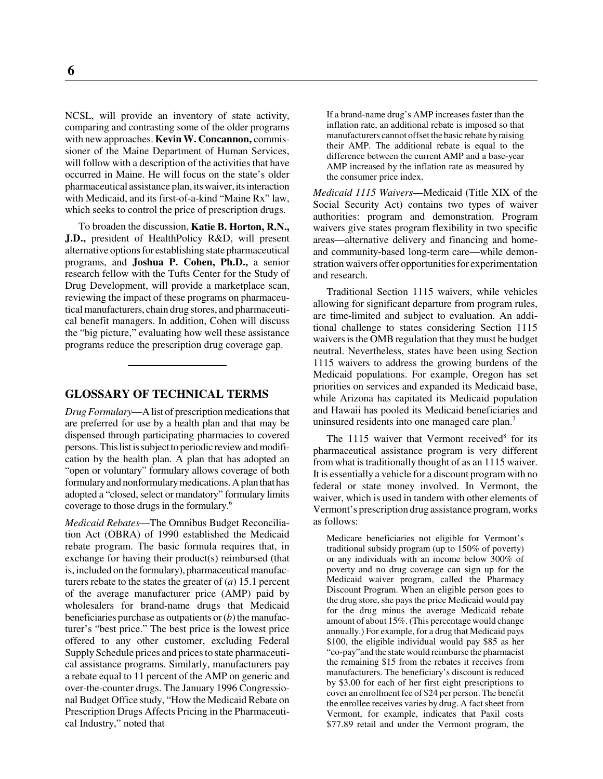NCSL, will provide an inventory of state activity, comparing and contrasting some of the older programs with new approaches. **Kevin W. Concannon,** commissioner of the Maine Department of Human Services, will follow with a description of the activities that have occurred in Maine. He will focus on the state's older pharmaceutical assistance plan, its waiver, its interaction with Medicaid, and its first-of-a-kind "Maine Rx" law, which seeks to control the price of prescription drugs.

To broaden the discussion, **Katie B. Horton, R.N., J.D.,** president of HealthPolicy R&D, will present alternative options for establishing state pharmaceutical programs, and **Joshua P. Cohen, Ph.D.,** a senior research fellow with the Tufts Center for the Study of Drug Development, will provide a marketplace scan, reviewing the impact of these programs on pharmaceutical manufacturers, chain drug stores, and pharmaceutical benefit managers. In addition, Cohen will discuss the "big picture," evaluating how well these assistance programs reduce the prescription drug coverage gap.

# **GLOSSARY OF TECHNICAL TERMS**

*Drug Formulary*—A list of prescription medications that are preferred for use by a health plan and that may be dispensed through participating pharmacies to covered persons. This list is subject to periodic review and modification by the health plan. A plan that has adopted an "open or voluntary" formulary allows coverage of both formulary and nonformulary medications. A plan that has adopted a "closed, select or mandatory" formulary limits coverage to those drugs in the formulary.6

*Medicaid Rebates*—The Omnibus Budget Reconciliation Act (OBRA) of 1990 established the Medicaid rebate program. The basic formula requires that, in exchange for having their product(s) reimbursed (that is, included on the formulary), pharmaceutical manufacturers rebate to the states the greater of (*a*) 15.1 percent of the average manufacturer price (AMP) paid by wholesalers for brand-name drugs that Medicaid beneficiaries purchase as outpatients or (*b*) the manufacturer's "best price." The best price is the lowest price offered to any other customer, excluding Federal Supply Schedule prices and prices to state pharmaceutical assistance programs. Similarly, manufacturers pay a rebate equal to 11 percent of the AMP on generic and over-the-counter drugs. The January 1996 Congressional Budget Office study, "How the Medicaid Rebate on Prescription Drugs Affects Pricing in the Pharmaceutical Industry," noted that

If a brand-name drug's AMP increases faster than the inflation rate, an additional rebate is imposed so that manufacturers cannot offset the basic rebate by raising their AMP. The additional rebate is equal to the difference between the current AMP and a base-year AMP increased by the inflation rate as measured by the consumer price index.

*Medicaid 1115 Waivers*—Medicaid (Title XIX of the Social Security Act) contains two types of waiver authorities: program and demonstration. Program waivers give states program flexibility in two specific areas—alternative delivery and financing and homeand community-based long-term care—while demonstration waivers offer opportunities for experimentation and research.

Traditional Section 1115 waivers, while vehicles allowing for significant departure from program rules, are time-limited and subject to evaluation. An additional challenge to states considering Section 1115 waivers is the OMB regulation that they must be budget neutral. Nevertheless, states have been using Section 1115 waivers to address the growing burdens of the Medicaid populations. For example, Oregon has set priorities on services and expanded its Medicaid base, while Arizona has capitated its Medicaid population and Hawaii has pooled its Medicaid beneficiaries and uninsured residents into one managed care plan.<sup>7</sup>

The  $1115$  waiver that Vermont received<sup>8</sup> for its pharmaceutical assistance program is very different from what is traditionally thought of as an 1115 waiver. It is essentially a vehicle for a discount program with no federal or state money involved. In Vermont, the waiver, which is used in tandem with other elements of Vermont's prescription drug assistance program, works as follows:

Medicare beneficiaries not eligible for Vermont's traditional subsidy program (up to 150% of poverty) or any individuals with an income below 300% of poverty and no drug coverage can sign up for the Medicaid waiver program, called the Pharmacy Discount Program. When an eligible person goes to the drug store, she pays the price Medicaid would pay for the drug minus the average Medicaid rebate amount of about 15%. (This percentage would change annually.) For example, for a drug that Medicaid pays \$100, the eligible individual would pay \$85 as her "co-pay"and the state would reimburse the pharmacist the remaining \$15 from the rebates it receives from manufacturers. The beneficiary's discount is reduced by \$3.00 for each of her first eight prescriptions to cover an enrollment fee of \$24 per person. The benefit the enrollee receives varies by drug. A fact sheet from Vermont, for example, indicates that Paxil costs \$77.89 retail and under the Vermont program, the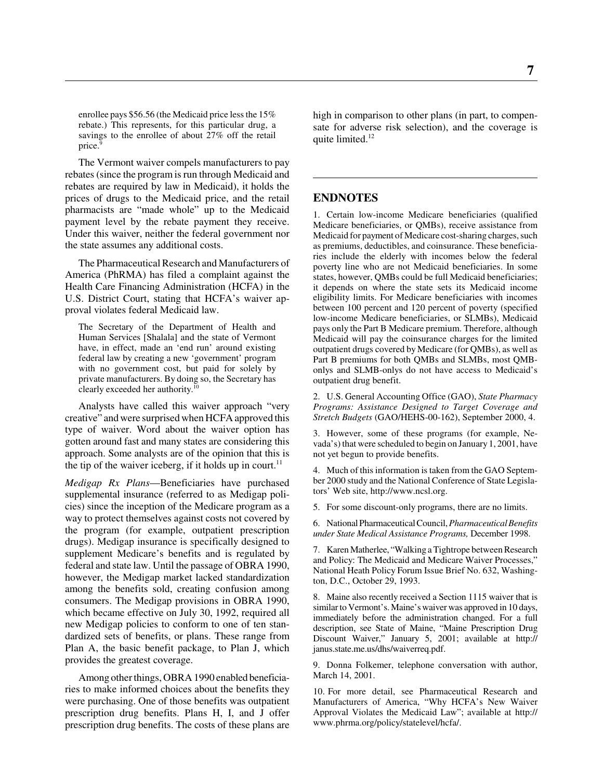enrollee pays \$56.56 (the Medicaid price less the 15% rebate.) This represents, for this particular drug, a savings to the enrollee of about 27% off the retail price.<sup>9</sup>

The Vermont waiver compels manufacturers to pay rebates (since the program is run through Medicaid and rebates are required by law in Medicaid), it holds the prices of drugs to the Medicaid price, and the retail pharmacists are "made whole" up to the Medicaid payment level by the rebate payment they receive. Under this waiver, neither the federal government nor the state assumes any additional costs.

The Pharmaceutical Research and Manufacturers of America (PhRMA) has filed a complaint against the Health Care Financing Administration (HCFA) in the U.S. District Court, stating that HCFA's waiver approval violates federal Medicaid law.

The Secretary of the Department of Health and Human Services [Shalala] and the state of Vermont have, in effect, made an 'end run' around existing federal law by creating a new 'government' program with no government cost, but paid for solely by private manufacturers. By doing so, the Secretary has clearly exceeded her authority.<sup>10</sup>

Analysts have called this waiver approach "very creative" and were surprised when HCFA approved this type of waiver. Word about the waiver option has gotten around fast and many states are considering this approach. Some analysts are of the opinion that this is the tip of the waiver iceberg, if it holds up in court.<sup>11</sup>

*Medigap Rx Plans*—Beneficiaries have purchased supplemental insurance (referred to as Medigap policies) since the inception of the Medicare program as a way to protect themselves against costs not covered by the program (for example, outpatient prescription drugs). Medigap insurance is specifically designed to supplement Medicare's benefits and is regulated by federal and state law. Until the passage of OBRA 1990, however, the Medigap market lacked standardization among the benefits sold, creating confusion among consumers. The Medigap provisions in OBRA 1990, which became effective on July 30, 1992, required all new Medigap policies to conform to one of ten standardized sets of benefits, or plans. These range from Plan A, the basic benefit package, to Plan J, which provides the greatest coverage.

Among other things, OBRA 1990 enabled beneficiaries to make informed choices about the benefits they were purchasing. One of those benefits was outpatient prescription drug benefits. Plans H, I, and J offer prescription drug benefits. The costs of these plans are

high in comparison to other plans (in part, to compensate for adverse risk selection), and the coverage is quite limited.<sup>12</sup>

#### **ENDNOTES**

1. Certain low-income Medicare beneficiaries (qualified Medicare beneficiaries, or QMBs), receive assistance from Medicaid for payment of Medicare cost-sharing charges, such as premiums, deductibles, and coinsurance. These beneficiaries include the elderly with incomes below the federal poverty line who are not Medicaid beneficiaries. In some states, however, QMBs could be full Medicaid beneficiaries; it depends on where the state sets its Medicaid income eligibility limits. For Medicare beneficiaries with incomes between 100 percent and 120 percent of poverty (specified low-income Medicare beneficiaries, or SLMBs), Medicaid pays only the Part B Medicare premium. Therefore, although Medicaid will pay the coinsurance charges for the limited outpatient drugs covered by Medicare (for QMBs), as well as Part B premiums for both QMBs and SLMBs, most QMBonlys and SLMB-onlys do not have access to Medicaid's outpatient drug benefit.

2. U.S. General Accounting Office (GAO), *State Pharmacy Programs: Assistance Designed to Target Coverage and Stretch Budgets* (GAO/HEHS-00-162), September 2000, 4.

3. However, some of these programs (for example, Nevada's) that were scheduled to begin on January 1, 2001, have not yet begun to provide benefits.

4. Much of this information is taken from the GAO September 2000 study and the National Conference of State Legislators' Web site, http://www.ncsl.org.

5. For some discount-only programs, there are no limits.

6. National Pharmaceutical Council, *Pharmaceutical Benefits under State Medical Assistance Programs,* December 1998.

7. Karen Matherlee, "Walking a Tightrope between Research and Policy: The Medicaid and Medicare Waiver Processes," National Heath Policy Forum Issue Brief No. 632, Washington, D.C., October 29, 1993.

8. Maine also recently received a Section 1115 waiver that is similar to Vermont's. Maine's waiver was approved in 10 days, immediately before the administration changed. For a full description, see State of Maine, "Maine Prescription Drug Discount Waiver," January 5, 2001; available at http:// janus.state.me.us/dhs/waiverreq.pdf.

9. Donna Folkemer, telephone conversation with author, March 14, 2001.

10. For more detail, see Pharmaceutical Research and Manufacturers of America, "Why HCFA's New Waiver Approval Violates the Medicaid Law"; available at http:// www.phrma.org/policy/statelevel/hcfa/.